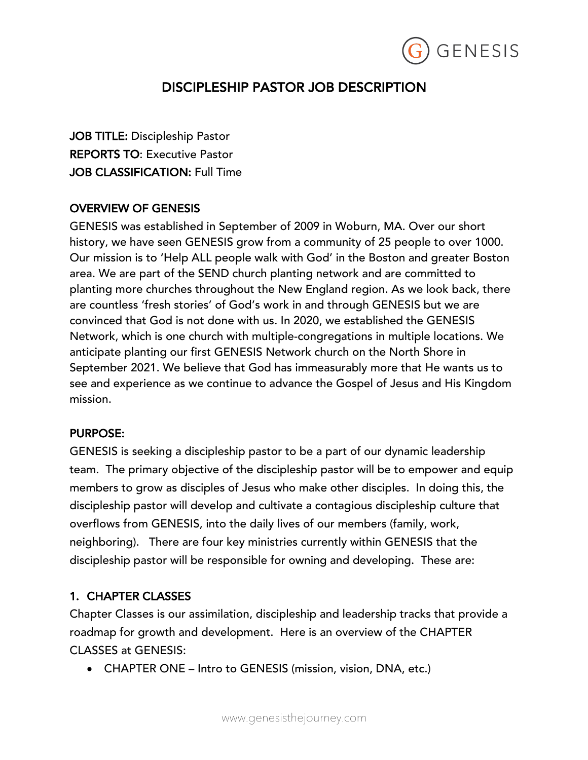

# DISCIPLESHIP PASTOR JOB DESCRIPTION

JOB TITLE: Discipleship Pastor REPORTS TO: Executive Pastor JOB CLASSIFICATION: Full Time

### OVERVIEW OF GENESIS

GENESIS was established in September of 2009 in Woburn, MA. Over our short history, we have seen GENESIS grow from a community of 25 people to over 1000. Our mission is to 'Help ALL people walk with God' in the Boston and greater Boston area. We are part of the SEND church planting network and are committed to planting more churches throughout the New England region. As we look back, there are countless 'fresh stories' of God's work in and through GENESIS but we are convinced that God is not done with us. In 2020, we established the GENESIS Network, which is one church with multiple-congregations in multiple locations. We anticipate planting our first GENESIS Network church on the North Shore in September 2021. We believe that God has immeasurably more that He wants us to see and experience as we continue to advance the Gospel of Jesus and His Kingdom mission.

### PURPOSE:

GENESIS is seeking a discipleship pastor to be a part of our dynamic leadership team. The primary objective of the discipleship pastor will be to empower and equip members to grow as disciples of Jesus who make other disciples. In doing this, the discipleship pastor will develop and cultivate a contagious discipleship culture that overflows from GENESIS, into the daily lives of our members (family, work, neighboring). There are four key ministries currently within GENESIS that the discipleship pastor will be responsible for owning and developing. These are:

### 1. CHAPTER CLASSES

Chapter Classes is our assimilation, discipleship and leadership tracks that provide a roadmap for growth and development. Here is an overview of the CHAPTER CLASSES at GENESIS:

• CHAPTER ONE – Intro to GENESIS (mission, vision, DNA, etc.)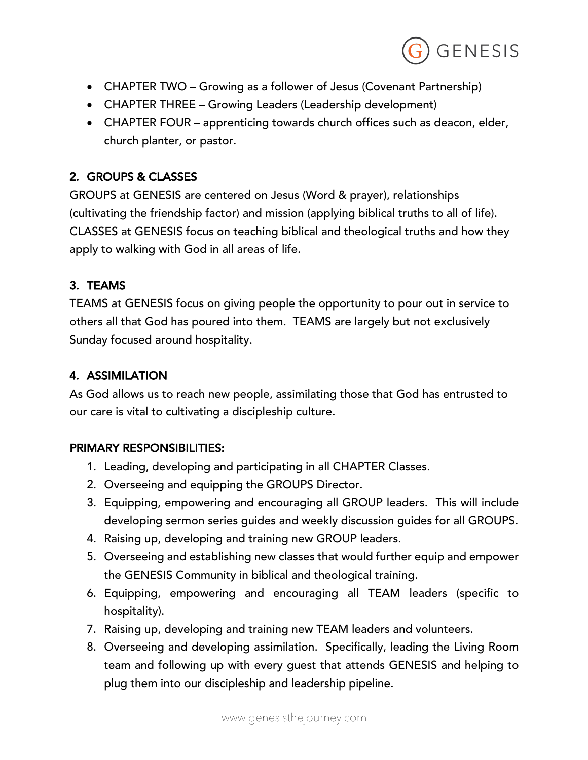

- CHAPTER TWO Growing as a follower of Jesus (Covenant Partnership)
- CHAPTER THREE Growing Leaders (Leadership development)
- CHAPTER FOUR apprenticing towards church offices such as deacon, elder, church planter, or pastor.

# 2. GROUPS & CLASSES

GROUPS at GENESIS are centered on Jesus (Word & prayer), relationships (cultivating the friendship factor) and mission (applying biblical truths to all of life). CLASSES at GENESIS focus on teaching biblical and theological truths and how they apply to walking with God in all areas of life.

# 3. TEAMS

TEAMS at GENESIS focus on giving people the opportunity to pour out in service to others all that God has poured into them. TEAMS are largely but not exclusively Sunday focused around hospitality.

# 4. ASSIMILATION

As God allows us to reach new people, assimilating those that God has entrusted to our care is vital to cultivating a discipleship culture.

### PRIMARY RESPONSIBILITIES:

- 1. Leading, developing and participating in all CHAPTER Classes.
- 2. Overseeing and equipping the GROUPS Director.
- 3. Equipping, empowering and encouraging all GROUP leaders. This will include developing sermon series guides and weekly discussion guides for all GROUPS.
- 4. Raising up, developing and training new GROUP leaders.
- 5. Overseeing and establishing new classes that would further equip and empower the GENESIS Community in biblical and theological training.
- 6. Equipping, empowering and encouraging all TEAM leaders (specific to hospitality).
- 7. Raising up, developing and training new TEAM leaders and volunteers.
- 8. Overseeing and developing assimilation. Specifically, leading the Living Room team and following up with every guest that attends GENESIS and helping to plug them into our discipleship and leadership pipeline.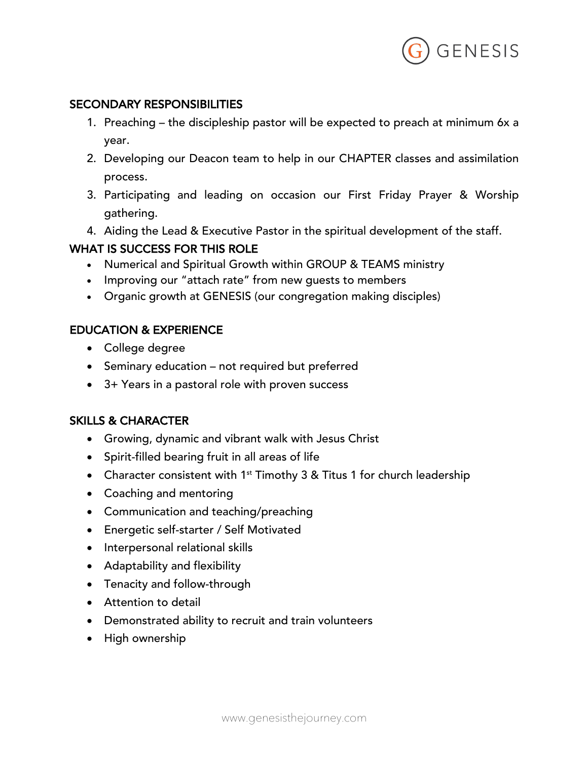

### SECONDARY RESPONSIBILITIES

- 1. Preaching the discipleship pastor will be expected to preach at minimum 6x a year.
- 2. Developing our Deacon team to help in our CHAPTER classes and assimilation process.
- 3. Participating and leading on occasion our First Friday Prayer & Worship gathering.
- 4. Aiding the Lead & Executive Pastor in the spiritual development of the staff.

### WHAT IS SUCCESS FOR THIS ROLE

- Numerical and Spiritual Growth within GROUP & TEAMS ministry
- Improving our "attach rate" from new guests to members
- Organic growth at GENESIS (our congregation making disciples)

### EDUCATION & EXPERIENCE

- College degree
- Seminary education not required but preferred
- 3+ Years in a pastoral role with proven success

### SKILLS & CHARACTER

- Growing, dynamic and vibrant walk with Jesus Christ
- Spirit-filled bearing fruit in all areas of life
- Character consistent with  $1<sup>st</sup>$  Timothy 3 & Titus 1 for church leadership
- Coaching and mentoring
- Communication and teaching/preaching
- Energetic self-starter / Self Motivated
- Interpersonal relational skills
- Adaptability and flexibility
- Tenacity and follow-through
- Attention to detail
- Demonstrated ability to recruit and train volunteers
- High ownership